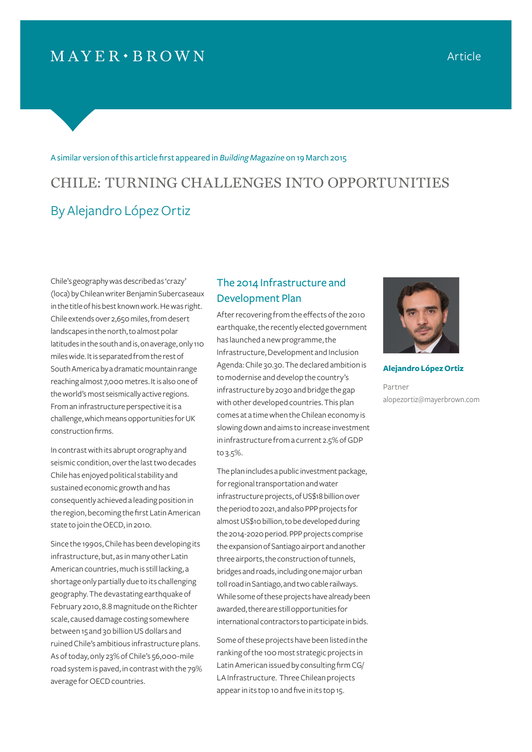## $MAYER \cdot BROWN$

#### A similar version of this article first appeared in *Building Magazine* on 19 March 2015

# CHILE: TURNING CHALLENGES INTO OPPORTUNITIES By Alejandro López Ortiz

Chile's geography was described as 'crazy' (loca) by Chilean writer Benjamin Subercaseaux in the title of his best known work. He was right. Chile extends over 2,650 miles, from desert landscapes in the north, to almost polar latitudes in the south and is, on average, only 110 miles wide. It is separated from the rest of South America by a dramatic mountain range reaching almost 7,000 metres. It is also one of the world's most seismically active regions. From an infrastructure perspective it is a challenge, which means opportunities for UK construction firms.

In contrast with its abrupt orography and seismic condition, over the last two decades Chile has enjoyed political stability and sustained economic growth and has consequently achieved a leading position in the region, becoming the first Latin American state to join the OECD, in 2010.

Since the 1990s, Chile has been developing its infrastructure, but, as in many other Latin American countries, much is still lacking, a shortage only partially due to its challenging geography. The devastating earthquake of February 2010, 8.8 magnitude on the Richter scale, caused damage costing somewhere between 15 and 30 billion US dollars and ruined Chile's ambitious infrastructure plans. As of today, only 23% of Chile's 56,000-mile road system is paved, in contrast with the 79% average for OECD countries.

### The 2014 Infrastructure and Development Plan

After recovering from the effects of the 2010 earthquake, the recently elected government has launched a new programme, the Infrastructure, Development and Inclusion Agenda: Chile 30.30. The declared ambition is to modernise and develop the country's infrastructure by 2030 and bridge the gap with other developed countries. This plan comes at a time when the Chilean economy is slowing down and aims to increase investment in infrastructure from a current 2.5% of GDP to 3.5%.

The plan includes a public investment package, for regional transportation and water infrastructure projects, of US\$18 billion over the period to 2021, and also PPP projects for almost US\$10 billion, to be developed during the 2014-2020 period. PPP projects comprise the expansion of Santiago airport and another three airports, the construction of tunnels, bridges and roads, including one major urban toll road in Santiago, and two cable railways. While some of these projects have already been awarded, there are still opportunities for international contractors to participate in bids.

Some of these projects have been listed in the ranking of the 100 most strategic projects in Latin American issued by consulting firm CG/ LA Infrastructure. Three Chilean projects appear in its top 10 and five in its top 15.



**Alejandro López Ortiz** 

Partner alopezortiz@mayerbrown.com